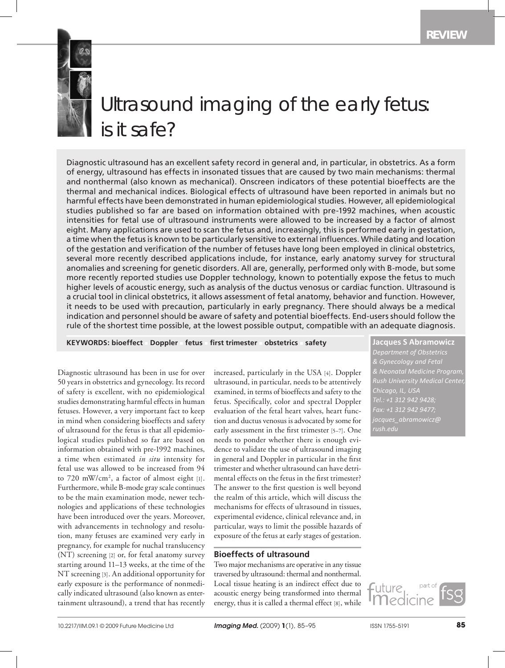

# Ultrasound imaging of the early fetus: is it safe?

Diagnostic ultrasound has an excellent safety record in general and, in particular, in obstetrics. As a form of energy, ultrasound has effects in insonated tissues that are caused by two main mechanisms: thermal and nonthermal (also known as mechanical). Onscreen indicators of these potential bioeffects are the thermal and mechanical indices. Biological effects of ultrasound have been reported in animals but no harmful effects have been demonstrated in human epidemiological studies. However, all epidemiological studies published so far are based on information obtained with pre-1992 machines, when acoustic intensities for fetal use of ultrasound instruments were allowed to be increased by a factor of almost eight. Many applications are used to scan the fetus and, increasingly, this is performed early in gestation, a time when the fetus is known to be particularly sensitive to external influences. While dating and location of the gestation and verification of the number of fetuses have long been employed in clinical obstetrics, several more recently described applications include, for instance, early anatomy survey for structural anomalies and screening for genetic disorders. All are, generally, performed only with B-mode, but some more recently reported studies use Doppler technology, known to potentially expose the fetus to much higher levels of acoustic energy, such as analysis of the ductus venosus or cardiac function. Ultrasound is a crucial tool in clinical obstetrics, it allows assessment of fetal anatomy, behavior and function. However, it needs to be used with precaution, particularly in early pregnancy. There should always be a medical indication and personnel should be aware of safety and potential bioeffects. End-users should follow the rule of the shortest time possible, at the lowest possible output, compatible with an adequate diagnosis.

## **KEYWORDS: bioeffect** <sup>n</sup> **Doppler** <sup>n</sup> **fetus** <sup>n</sup> **first trimester** <sup>n</sup> **obstetrics** <sup>n</sup> **safety Jacques S Abramowicz**

Diagnostic ultrasound has been in use for over 50 years in obstetrics and gynecology. Its record of safety is excellent, with no epidemiological studies demonstrating harmful effects in human fetuses. However, a very important fact to keep in mind when considering bioeffects and safety of ultrasound for the fetus is that all epidemiological studies published so far are based on information obtained with pre-1992 machines, a time when estimated *in situ* intensity for fetal use was allowed to be increased from 94 to 720 mW/cm2 , a factor of almost eight [1]. Furthermore, while B-mode gray scale continues to be the main examination mode, newer technologies and applications of these technologies have been introduced over the years. Moreover, with advancements in technology and resolution, many fetuses are examined very early in pregnancy, for example for nuchal translucency (NT) screening [2] or, for fetal anatomy survey starting around 11–13 weeks, at the time of the NT screening [3]. An additional opportunity for early exposure is the performance of nonmedically indicated ultrasound (also known as entertainment ultrasound), a trend that has recently

increased, particularly in the USA [4]. Doppler ultrasound, in particular, needs to be attentively examined, in terms of bioeffects and safety to the fetus. Specifically, color and spectral Doppler evaluation of the fetal heart valves, heart function and ductus venosus is advocated by some for early assessment in the first trimester [5–7]. One needs to ponder whether there is enough evidence to validate the use of ultrasound imaging in general and Doppler in particular in the first trimester and whether ultrasound can have detrimental effects on the fetus in the first trimester? The answer to the first question is well beyond the realm of this article, which will discuss the mechanisms for effects of ultrasound in tissues, experimental evidence, clinical relevance and, in particular, ways to limit the possible hazards of exposure of the fetus at early stages of gestation.

## **Bioeffects of ultrasound**

Two major mechanisms are operative in any tissue traversed by ultrasound: thermal and nonthermal. Local tissue heating is an indirect effect due to acoustic energy being transformed into thermal energy, thus it is called a thermal effect [8], while

uture

*Department of Obstetrics & Gynecology and Fetal & Neonatal Medicine Program, Rush University Medical Center, Chicago, IL, USA Tel.: +1 312 942 9428; Fax: +1 312 942 9477; rush.edu*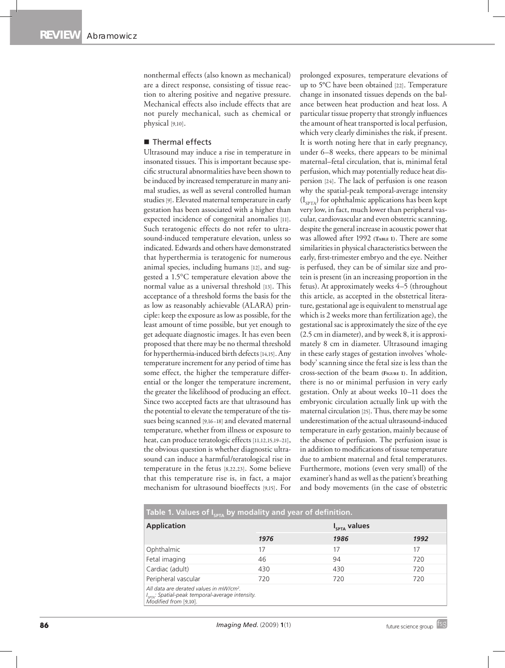nonthermal effects (also known as mechanical) are a direct response, consisting of tissue reaction to altering positive and negative pressure. Mechanical effects also include effects that are not purely mechanical, such as chemical or physical [9,10].

#### ■ Thermal effects

Ultrasound may induce a rise in temperature in insonated tissues. This is important because specific structural abnormalities have been shown to be induced by increased temperature in many animal studies, as well as several controlled human studies [9]. Elevated maternal temperature in early gestation has been associated with a higher than expected incidence of congenital anomalies [11]. Such teratogenic effects do not refer to ultrasound-induced temperature elevation, unless so indicated. Edwards and others have demonstrated that hyperthermia is teratogenic for numerous animal species, including humans [12], and suggested a 1.5°C temperature elevation above the normal value as a universal threshold [13]. This acceptance of a threshold forms the basis for the as low as reasonably achievable (ALARA) principle: keep the exposure as low as possible, for the least amount of time possible, but yet enough to get adequate diagnostic images. It has even been proposed that there may be no thermal threshold for hyperthermia-induced birth defects [14,15]. Any temperature increment for any period of time has some effect, the higher the temperature differential or the longer the temperature increment, the greater the likelihood of producing an effect. Since two accepted facts are that ultrasound has the potential to elevate the temperature of the tissues being scanned [9,16–18] and elevated maternal temperature, whether from illness or exposure to heat, can produce teratologic effects [11,12,15,19–21], the obvious question is whether diagnostic ultrasound can induce a harmful/teratological rise in temperature in the fetus [8,22,23]. Some believe that this temperature rise is, in fact, a major mechanism for ultrasound bioeffects [9,15]. For

prolonged exposures, temperature elevations of up to 5°C have been obtained [22]. Temperature change in insonated tissues depends on the balance between heat production and heat loss. A particular tissue property that strongly influences the amount of heat transported is local perfusion, which very clearly diminishes the risk, if present. It is worth noting here that in early pregnancy, under 6–8 weeks, there appears to be minimal maternal–fetal circulation, that is, minimal fetal perfusion, which may potentially reduce heat dispersion [24]. The lack of perfusion is one reason why the spatial-peak temporal-average intensity  $(I_{\text{SPTA}})$  for ophthalmic applications has been kept very low, in fact, much lower than peripheral vascular, cardiovascular and even obstetric scanning, despite the general increase in acoustic power that was allowed after 1992 **(Table 1)**. There are some similarities in physical characteristics between the early, first-trimester embryo and the eye. Neither is perfused, they can be of similar size and protein is present (in an increasing proportion in the fetus). At approximately weeks 4–5 (throughout this article, as accepted in the obstetrical literature, gestational age is equivalent to menstrual age which is 2 weeks more than fertilization age), the gestational sac is approximately the size of the eye (2.5 cm in diameter), and by week 8, it is approximately 8 cm in diameter. Ultrasound imaging in these early stages of gestation involves 'wholebody' scanning since the fetal size is less than the cross-section of the beam **(Figure 1)**. In addition, there is no or minimal perfusion in very early gestation. Only at about weeks 10–11 does the embryonic circulation actually link up with the maternal circulation [25]. Thus, there may be some underestimation of the actual ultrasound-induced temperature in early gestation, mainly because of the absence of perfusion. The perfusion issue is in addition to modifications of tissue temperature due to ambient maternal and fetal temperatures. Furthermore, motions (even very small) of the examiner's hand as well as the patient's breathing and body movements (in the case of obstetric

| Table 1. Values of $I_{\text{cprA}}$ by modality and year of definition.                                                                     |      |                          |      |
|----------------------------------------------------------------------------------------------------------------------------------------------|------|--------------------------|------|
| <b>Application</b>                                                                                                                           |      | I <sub>SPTA</sub> values |      |
|                                                                                                                                              | 1976 | 1986                     | 1992 |
| Ophthalmic                                                                                                                                   | 17   | 17                       | 17   |
| Fetal imaging                                                                                                                                | 46   | 94                       | 720  |
| Cardiac (adult)                                                                                                                              | 430  | 430                      | 720  |
| Peripheral vascular                                                                                                                          | 720  | 720                      | 720  |
| All data are derated values in mW/cm <sup>2</sup> .<br>I <sub>SPTA</sub> : Spatial-peak temporal-average intensity.<br>Modified from [9,10]. |      |                          |      |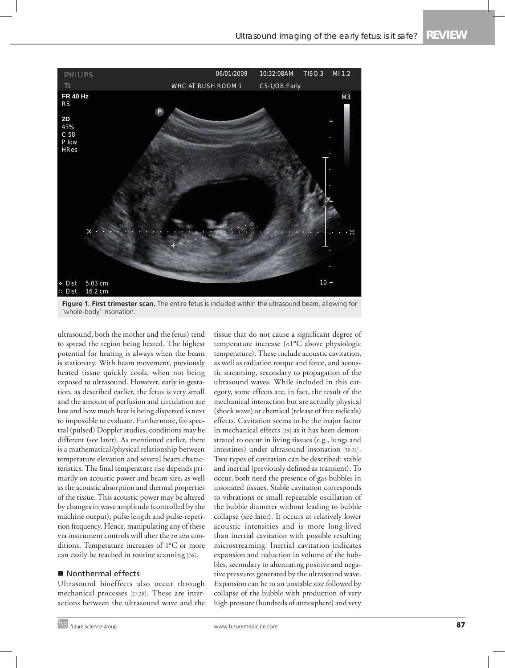

**Figure 1. First trimester scan.** The entire fetus is included within the ultrasound beam, allowing for 'whole-body' insonation.

ultrasound, both the mother and the fetus) tend to spread the region being heated. The highest potential for heating is always when the beam is stationary. With beam movement, previously heated tissue quickly cools, when not being exposed to ultrasound. However, early in gestation, as described earlier, the fetus is very small and the amount of perfusion and circulation are low and how much heat is being dispersed is next to impossible to evaluate. Furthermore, for spectral (pulsed) Doppler studies, conditions may be different (see later). As mentioned earlier, there is a mathematical/physical relationship between temperature elevation and several beam characteristics. The final temperature rise depends primarily on acoustic power and beam size, as well as the acoustic absorption and thermal properties of the tissue. This acoustic power may be altered by changes in wave amplitude (controlled by the machine output), pulse length and pulse-repetition frequency. Hence, manipulating any of these via instrument controls will alter the *in situ* conditions. Temperature increases of 1°C or more can easily be reached in routine scanning [26].

## Nonthermal effects

Ultrasound bioeffects also occur through mechanical processes [27,28]. These are interactions between the ultrasound wave and the tissue that do not cause a significant degree of temperature increase (<1°C above physiologic temperature). These include acoustic cavitation, as well as radiation torque and force, and acoustic streaming, secondary to propagation of the ultrasound waves. While included in this category, some effects are, in fact, the result of the mechanical interaction but are actually physical (shock wave) or chemical (release of free radicals) effects. Cavitation seems to be the major factor in mechanical effects [29] as it has been demonstrated to occur in living tissues (e.g., lungs and intestines) under ultrasound insonation [30,31]. Two types of cavitation can be described: stable and inertial (previously defined as transient). To occur, both need the presence of gas bubbles in insonated tissues. Stable cavitation corresponds to vibrations or small repeatable oscillation of the bubble diameter without leading to bubble collapse (see later). It occurs at relatively lower acoustic intensities and is more long-lived than inertial cavitation with possible resulting microstreaming. Inertial cavitation indicates expansion and reduction in volume of the bubbles, secondary to alternating positive and negative pressures generated by the ultrasound wave. Expansion can be to an unstable size followed by collapse of the bubble with production of very high pressure (hundreds of atmosphere) and very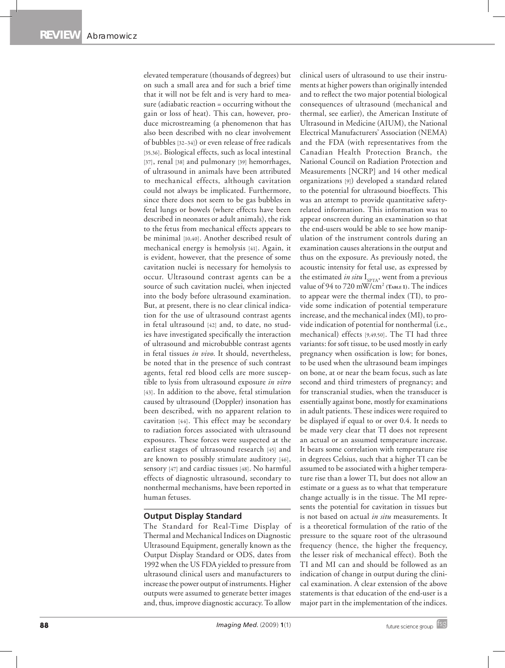elevated temperature (thousands of degrees) but on such a small area and for such a brief time that it will not be felt and is very hard to measure (adiabatic reaction = occurring without the gain or loss of heat). This can, however, produce microstreaming (a phenomenon that has also been described with no clear involvement of bubbles [32–34]) or even release of free radicals [35,36]. Biological effects, such as local intestinal [37], renal [38] and pulmonary [39] hemorrhages, of ultrasound in animals have been attributed to mechanical effects, although cavitation could not always be implicated. Furthermore, since there does not seem to be gas bubbles in fetal lungs or bowels (where effects have been described in neonates or adult animals), the risk to the fetus from mechanical effects appears to be minimal [10,40]. Another described result of mechanical energy is hemolysis [41]. Again, it is evident, however, that the presence of some cavitation nuclei is necessary for hemolysis to occur. Ultrasound contrast agents can be a source of such cavitation nuclei, when injected into the body before ultrasound examination. But, at present, there is no clear clinical indication for the use of ultrasound contrast agents in fetal ultrasound [42] and, to date, no studies have investigated specifically the interaction of ultrasound and microbubble contrast agents in fetal tissues *in vivo*. It should, nevertheless, be noted that in the presence of such contrast agents, fetal red blood cells are more susceptible to lysis from ultrasound exposure *in vitro* [43]. In addition to the above, fetal stimulation caused by ultrasound (Doppler) insonation has been described, with no apparent relation to cavitation [44]. This effect may be secondary to radiation forces associated with ultrasound exposures. These forces were suspected at the earliest stages of ultrasound research [45] and are known to possibly stimulate auditory [46], sensory [47] and cardiac tissues [48]. No harmful effects of diagnostic ultrasound, secondary to nonthermal mechanisms, have been reported in human fetuses.

## **Output Display Standard**

The Standard for Real-Time Display of Thermal and Mechanical Indices on Diagnostic Ultrasound Equipment, generally known as the Output Display Standard or ODS, dates from 1992 when the US FDA yielded to pressure from ultrasound clinical users and manufacturers to increase the power output of instruments. Higher outputs were assumed to generate better images and, thus, improve diagnostic accuracy. To allow

clinical users of ultrasound to use their instruments at higher powers than originally intended and to reflect the two major potential biological consequences of ultrasound (mechanical and thermal, see earlier), the American Institute of Ultrasound in Medicine (AIUM), the National Electrical Manufacturers' Association (NEMA) and the FDA (with representatives from the Canadian Health Protection Branch, the National Council on Radiation Protection and Measurements [NCRP] and 14 other medical organizations [9]) developed a standard related to the potential for ultrasound bioeffects. This was an attempt to provide quantitative safetyrelated information. This information was to appear onscreen during an examination so that the end-users would be able to see how manipulation of the instrument controls during an examination causes alterations in the output and thus on the exposure. As previously noted, the acoustic intensity for fetal use, as expressed by the estimated *in situ* I<sub>SPTA</sub>, went from a previous value of 94 to 720 mW/cm<sup>2</sup> (TABLE 1). The indices to appear were the thermal index (TI), to provide some indication of potential temperature increase, and the mechanical index (MI), to provide indication of potential for nonthermal (i.e., mechanical) effects [9,49,50]. The TI had three variants: for soft tissue, to be used mostly in early pregnancy when ossification is low; for bones, to be used when the ultrasound beam impinges on bone, at or near the beam focus, such as late second and third trimesters of pregnancy; and for transcranial studies, when the transducer is essentially against bone, mostly for examinations in adult patients. These indices were required to be displayed if equal to or over 0.4. It needs to be made very clear that TI does not represent an actual or an assumed temperature increase. It bears some correlation with temperature rise in degrees Celsius, such that a higher TI can be assumed to be associated with a higher temperature rise than a lower TI, but does not allow an estimate or a guess as to what that temperature change actually is in the tissue. The MI represents the potential for cavitation in tissues but is not based on actual *in situ* measurements. It is a theoretical formulation of the ratio of the pressure to the square root of the ultrasound frequency (hence, the higher the frequency, the lesser risk of mechanical effect). Both the TI and MI can and should be followed as an indication of change in output during the clinical examination. A clear extension of the above statements is that education of the end-user is a major part in the implementation of the indices.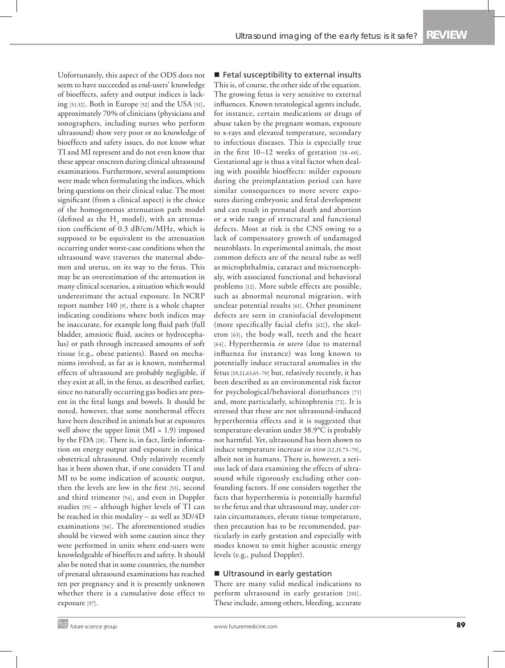Unfortunately, this aspect of the ODS does not seem to have succeeded as end-users' knowledge of bioeffects, safety and output indices is lacking [51,52]. Both in Europe [52] and the USA [51], approximately 70% of clinicians (physicians and sonographers, including nurses who perform ultrasound) show very poor or no knowledge of bioeffects and safety issues, do not know what TI and MI represent and do not even know that these appear onscreen during clinical ultrasound examinations. Furthermore, several assumptions were made when formulating the indices, which bring questions on their clinical value. The most significant (from a clinical aspect) is the choice of the homogeneous attenuation path model (defined as the H<sub>2</sub> model), with an attenuation coefficient of 0.3 dB/cm/MHz, which is supposed to be equivalent to the attenuation occurring under worst-case conditions when the ultrasound wave traverses the maternal abdomen and uterus, on its way to the fetus. This may be an overestimation of the attenuation in many clinical scenarios, a situation which would underestimate the actual exposure. In NCRP report number 140 [9], there is a whole chapter indicating conditions where both indices may be inaccurate, for example long fluid path (full bladder, amniotic fluid, ascites or hydrocephalus) or path through increased amounts of soft tissue (e.g., obese patients). Based on mechanisms involved, as far as is known, nonthermal effects of ultrasound are probably negligible, if they exist at all, in the fetus, as described earlier, since no naturally occurring gas bodies are present in the fetal lungs and bowels. It should be noted, however, that some nonthermal effects have been described in animals but at exposures well above the upper limit  $(MI = 1.9)$  imposed by the FDA [28]. There is, in fact, little information on energy output and exposure in clinical obstetrical ultrasound. Only relatively recently has it been shown that, if one considers TI and MI to be some indication of acoustic output, then the levels are low in the first [53], second and third trimester [54], and even in Doppler studies [55] – although higher levels of TI can be reached in this modality – as well as 3D/4D examinations [56]. The aforementioned studies should be viewed with some caution since they were performed in units where end-users were knowledgeable of bioeffects and safety. It should also be noted that in some countries, the number of prenatal ultrasound examinations has reached ten per pregnancy and it is presently unknown whether there is a cumulative dose effect to exposure [57].

Fetal susceptibility to external insults This is, of course, the other side of the equation. The growing fetus is very sensitive to external influences. Known teratological agents include, for instance, certain medications or drugs of abuse taken by the pregnant woman, exposure to x-rays and elevated temperature, secondary to infectious diseases. This is especially true in the first 10–12 weeks of gestation [58–60]. Gestational age is thus a vital factor when dealing with possible bioeffects: milder exposure during the preimplantation period can have similar consequences to more severe exposures during embryonic and fetal development and can result in prenatal death and abortion or a wide range of structural and functional defects. Most at risk is the CNS owing to a lack of compensatory growth of undamaged neuroblasts. In experimental animals, the most common defects are of the neural tube as well as microphthalmia, cataract and microencephaly, with associated functional and behavioral problems [12]. More subtle effects are possible, such as abnormal neuronal migration, with unclear potential results [61]. Other prominent defects are seen in craniofacial development (more specifically facial clefts [62]), the skeleton [63], the body wall, teeth and the heart [64]. Hyperthermia *in utero* (due to maternal influenza for instance) was long known to potentially induce structural anomalies in the fetus [19,21,63,65–70] but, relatively recently, it has been described as an environmental risk factor for psychological/behavioral disturbances [71] and, more particularly, schizophrenia [72]. It is stressed that these are not ultrasound-induced hyperthermia effects and it is suggested that temperature elevation under 38.9°C is probably not harmful. Yet, ultrasound has been shown to induce temperature increase *in vivo* [12,15,73–79], albeit not in humans. There is, however, a serious lack of data examining the effects of ultrasound while rigorously excluding other confounding factors. If one considers together the facts that hyperthermia is potentially harmful to the fetus and that ultrasound may, under certain circumstances, elevate tissue temperature, then precaution has to be recommended, particularly in early gestation and especially with modes known to emit higher acoustic energy levels (e.g., pulsed Doppler).

#### Ultrasound in early gestation

There are many valid medical indications to perform ultrasound in early gestation [201]. These include, among others, bleeding, accurate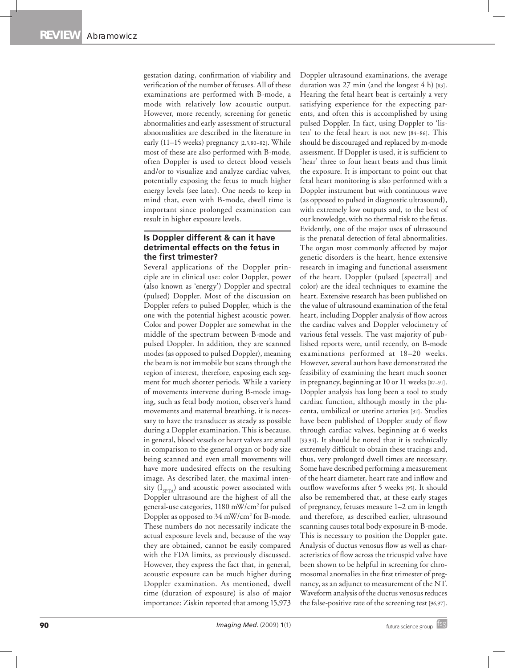gestation dating, confirmation of viability and verification of the number of fetuses. All of these examinations are performed with B-mode, a mode with relatively low acoustic output. However, more recently, screening for genetic abnormalities and early assessment of structural abnormalities are described in the literature in early (11–15 weeks) pregnancy [2,3,80–82]. While most of these are also performed with B-mode, often Doppler is used to detect blood vessels and/or to visualize and analyze cardiac valves, potentially exposing the fetus to much higher energy levels (see later). One needs to keep in mind that, even with B-mode, dwell time is important since prolonged examination can result in higher exposure levels.

## **Is Doppler different & can it have detrimental effects on the fetus in the first trimester?**

Several applications of the Doppler principle are in clinical use: color Doppler, power (also known as 'energy') Doppler and spectral (pulsed) Doppler. Most of the discussion on Doppler refers to pulsed Doppler, which is the one with the potential highest acoustic power. Color and power Doppler are somewhat in the middle of the spectrum between B-mode and pulsed Doppler. In addition, they are scanned modes (as opposed to pulsed Doppler), meaning the beam is not immobile but scans through the region of interest, therefore, exposing each segment for much shorter periods. While a variety of movements intervene during B-mode imaging, such as fetal body motion, observer's hand movements and maternal breathing, it is necessary to have the transducer as steady as possible during a Doppler examination. This is because, in general, blood vessels or heart valves are small in comparison to the general organ or body size being scanned and even small movements will have more undesired effects on the resulting image. As described later, the maximal intensity  $(I_{\text{sprA}})$  and acoustic power associated with Doppler ultrasound are the highest of all the general-use categories, 1180 mW/cm2 for pulsed Doppler as opposed to 34 mW/cm<sup>2</sup> for B-mode. These numbers do not necessarily indicate the actual exposure levels and, because of the way they are obtained, cannot be easily compared with the FDA limits, as previously discussed. However, they express the fact that, in general, acoustic exposure can be much higher during Doppler examination. As mentioned, dwell time (duration of exposure) is also of major importance: Ziskin reported that among 15,973

Doppler ultrasound examinations, the average duration was 27 min (and the longest 4 h) [83]. Hearing the fetal heart beat is certainly a very satisfying experience for the expecting parents, and often this is accomplished by using pulsed Doppler. In fact, using Doppler to 'listen' to the fetal heart is not new [84–86]. This should be discouraged and replaced by m-mode assessment. If Doppler is used, it is sufficient to 'hear' three to four heart beats and thus limit the exposure. It is important to point out that fetal heart monitoring is also performed with a Doppler instrument but with continuous wave (as opposed to pulsed in diagnostic ultrasound), with extremely low outputs and, to the best of our knowledge, with no thermal risk to the fetus. Evidently, one of the major uses of ultrasound is the prenatal detection of fetal abnormalities. The organ most commonly affected by major genetic disorders is the heart, hence extensive research in imaging and functional assessment of the heart. Doppler (pulsed [spectral] and color) are the ideal techniques to examine the heart. Extensive research has been published on the value of ultrasound examination of the fetal heart, including Doppler analysis of flow across the cardiac valves and Doppler velocimetry of various fetal vessels. The vast majority of published reports were, until recently, on B-mode examinations performed at 18–20 weeks. However, several authors have demonstrated the feasibility of examining the heart much sooner in pregnancy, beginning at 10 or 11 weeks [87–91]. Doppler analysis has long been a tool to study cardiac function, although mostly in the placenta, umbilical or uterine arteries [92]. Studies have been published of Doppler study of flow through cardiac valves, beginning at 6 weeks [93,94]. It should be noted that it is technically extremely difficult to obtain these tracings and, thus, very prolonged dwell times are necessary. Some have described performing a measurement of the heart diameter, heart rate and inflow and outflow waveforms after 5 weeks [95]. It should also be remembered that, at these early stages of pregnancy, fetuses measure 1–2 cm in length and therefore, as described earlier, ultrasound scanning causes total body exposure in B-mode. This is necessary to position the Doppler gate. Analysis of ductus venosus flow as well as characteristics of flow across the tricuspid valve have been shown to be helpful in screening for chromosomal anomalies in the first trimester of pregnancy, as an adjunct to measurement of the NT. Waveform analysis of the ductus venosus reduces the false-positive rate of the screening test [96,97].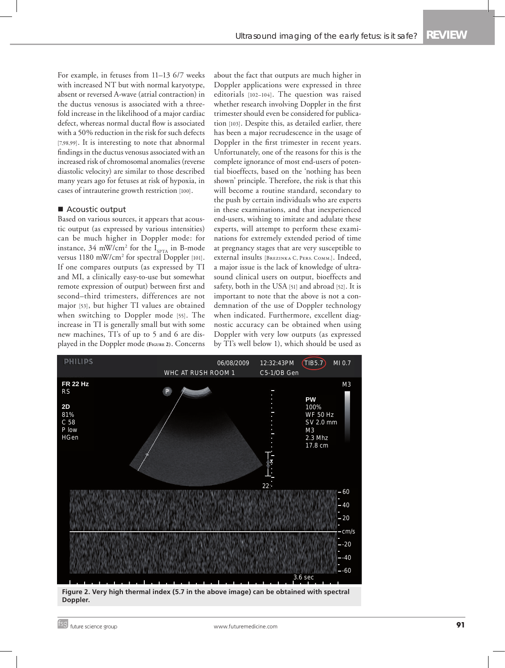For example, in fetuses from 11–13 6/7 weeks with increased NT but with normal karyotype, absent or reversed Awave (atrial contraction) in the ductus venosus is associated with a threefold increase in the likelihood of a major cardiac defect, whereas normal ductal flow is associated with a 50% reduction in the risk for such defects [7,98,99]. It is interesting to note that abnormal findings in the ductus venosus associated with an increased risk of chromosomal anomalies (reverse diastolic velocity) are similar to those described many years ago for fetuses at risk of hypoxia, in cases of intrauterine growth restriction [100].

#### ■ Acoustic output

Based on various sources, it appears that acoustic output (as expressed by various intensities) can be much higher in Doppler mode: for instance, 34 mW/cm<sup>2</sup> for the  $I_{\text{sprA}}$  in B-mode versus 1180 mW/cm<sup>2</sup> for spectral Doppler [101]. If one compares outputs (as expressed by TI and MI, a clinically easy-to-use but somewhat remote expression of output) between first and second–third trimesters, differences are not major [53], but higher TI values are obtained when switching to Doppler mode [55]. The increase in TI is generally small but with some new machines, TI's of up to 5 and 6 are displayed in the Doppler mode **(Figure 2)**. Concerns

about the fact that outputs are much higher in Doppler applications were expressed in three editorials [102–104]. The question was raised whether research involving Doppler in the first trimester should even be considered for publication [103]. Despite this, as detailed earlier, there has been a major recrudescence in the usage of Doppler in the first trimester in recent years. Unfortunately, one of the reasons for this is the complete ignorance of most end-users of potential bioeffects, based on the 'nothing has been shown' principle. Therefore, the risk is that this will become a routine standard, secondary to the push by certain individuals who are experts in these examinations, and that inexperienced end-users, wishing to imitate and adulate these experts, will attempt to perform these examinations for extremely extended period of time at pregnancy stages that are very susceptible to external insults [Brezinka C, Pers. Comm.]. Indeed, a major issue is the lack of knowledge of ultrasound clinical users on output, bioeffects and safety, both in the USA [51] and abroad [52]. It is important to note that the above is not a condemnation of the use of Doppler technology when indicated. Furthermore, excellent diagnostic accuracy can be obtained when using Doppler with very low outputs (as expressed by TI's well below 1), which should be used as



**Figure 2. Very high thermal index (5.7 in the above image) can be obtained with spectral Doppler.**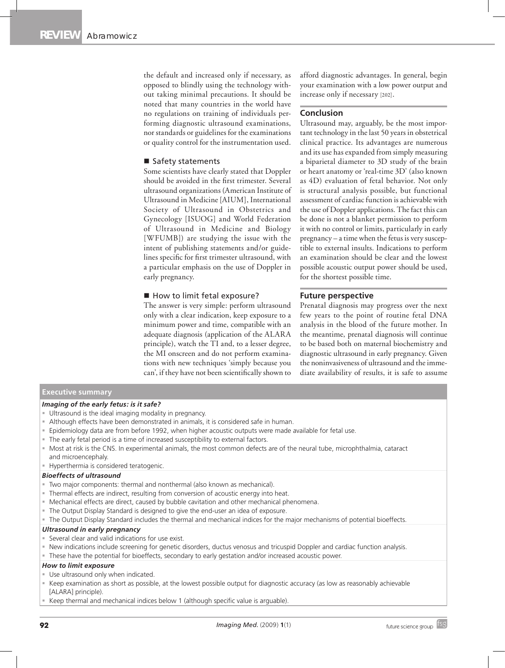the default and increased only if necessary, as opposed to blindly using the technology without taking minimal precautions. It should be noted that many countries in the world have no regulations on training of individuals performing diagnostic ultrasound examinations, nor standards or guidelines for the examinations or quality control for the instrumentation used.

### ■ Safety statements

Some scientists have clearly stated that Doppler should be avoided in the first trimester. Several ultrasound organizations (American Institute of Ultrasound in Medicine [AIUM], International Society of Ultrasound in Obstetrics and Gynecology [ISUOG] and World Federation of Ultrasound in Medicine and Biology [WFUMB]) are studying the issue with the intent of publishing statements and/or guidelines specific for first trimester ultrasound, with a particular emphasis on the use of Doppler in early pregnancy.

#### How to limit fetal exposure?

The answer is very simple: perform ultrasound only with a clear indication, keep exposure to a minimum power and time, compatible with an adequate diagnosis (application of the ALARA principle), watch the TI and, to a lesser degree, the MI onscreen and do not perform examinations with new techniques 'simply because you can', if they have not been scientifically shown to

afford diagnostic advantages. In general, begin your examination with a low power output and increase only if necessary [202].

### **Conclusion**

Ultrasound may, arguably, be the most important technology in the last 50 years in obstetrical clinical practice. Its advantages are numerous and its use has expanded from simply measuring a biparietal diameter to 3D study of the brain or heart anatomy or 'real-time 3D' (also known as 4D) evaluation of fetal behavior. Not only is structural analysis possible, but functional assessment of cardiac function is achievable with the use of Doppler applications. The fact this can be done is not a blanket permission to perform it with no control or limits, particularly in early pregnancy – a time when the fetus is very susceptible to external insults. Indications to perform an examination should be clear and the lowest possible acoustic output power should be used, for the shortest possible time.

## **Future perspective**

Prenatal diagnosis may progress over the next few years to the point of routine fetal DNA analysis in the blood of the future mother. In the meantime, prenatal diagnosis will continue to be based both on maternal biochemistry and diagnostic ultrasound in early pregnancy. Given the noninvasiveness of ultrasound and the immediate availability of results, it is safe to assume

#### **Executive summary**

#### *Imaging of the early fetus: is it safe?*

- Ultrasound is the ideal imaging modality in pregnancy.
- Although effects have been demonstrated in animals, it is considered safe in human.
- Epidemiology data are from before 1992, when higher acoustic outputs were made available for fetal use.
- The early fetal period is a time of increased susceptibility to external factors.
- Most at risk is the CNS. In experimental animals, the most common defects are of the neural tube, microphthalmia, cataract and microencephaly.
- **Hyperthermia is considered teratogenic.**

#### *Bioeffects of ultrasound*

- Two major components: thermal and nonthermal (also known as mechanical).
- Thermal effects are indirect, resulting from conversion of acoustic energy into heat.
- Mechanical effects are direct, caused by bubble cavitation and other mechanical phenomena.
- The Output Display Standard is designed to give the end-user an idea of exposure.
- The Output Display Standard includes the thermal and mechanical indices for the major mechanisms of potential bioeffects.

## *Ultrasound in early pregnancy*

- Several clear and valid indications for use exist.
- New indications include screening for genetic disorders, ductus venosus and tricuspid Doppler and cardiac function analysis.
- These have the potential for bioeffects, secondary to early gestation and/or increased acoustic power.

## *How to limit exposure*

- **Use ultrasound only when indicated.**
- Keep examination as short as possible, at the lowest possible output for diagnostic accuracy (as low as reasonably achievable [ALARA] principle).
- Keep thermal and mechanical indices below 1 (although specific value is arguable).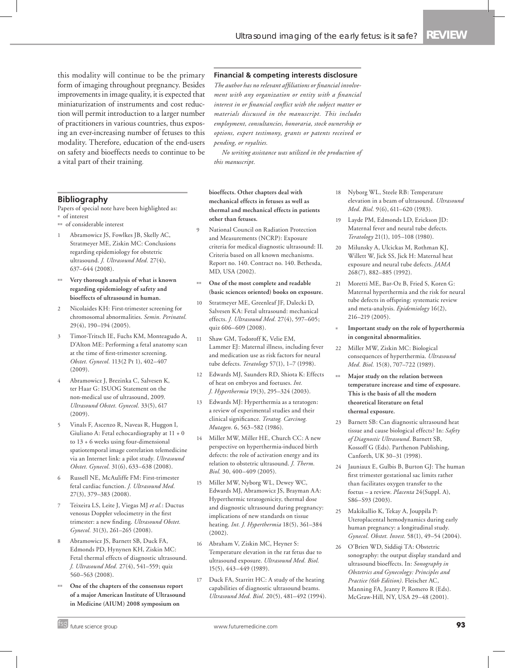this modality will continue to be the primary form of imaging throughout pregnancy. Besides improvements in image quality, it is expected that miniaturization of instruments and cost reduction will permit introduction to a larger number of practitioners in various countries, thus exposing an ever-increasing number of fetuses to this modality. Therefore, education of the end-users on safety and bioeffects needs to continue to be a vital part of their training.

#### **Bibliography**

Papers of special note have been highlighted as:  $\overline{\phantom{a}}$  of interest

- <sup>nn</sup> of considerable interest
- 1 Abramowicz JS, Fowlkes JB, Skelly AC, Stratmeyer ME, Ziskin MC: Conclusions regarding epidemiology for obstetric ultrasound. *J. Ultrasound Med.* 27(4), 637–644 (2008).
- Very thorough analysis of what is known **regarding epidemiology of safety and bioeffects of ultrasound in human.**
- 2 Nicolaides KH: First-trimester screening for chromosomal abnormalities. *Semin. Perinatol.* 29(4), 190–194 (2005).
- 3 Timor-Tritsch IE, Fuchs KM, Monteagudo A, D'Alton ME: Performing a fetal anatomy scan at the time of first-trimester screening. *Obstet. Gynecol.* 113(2 Pt 1), 402–407 (2009).
- 4 Abramowicz J, Brezinka C, Salvesen K, ter Haar G: ISUOG Statement on the non-medical use of ultrasound, 2009. *Ultrasound Obstet. Gynecol.* 33(5), 617 (2009).
- 5 Vinals F, Ascenzo R, Naveas R, Huggon I, Giuliano A: Fetal echocardiography at 11 + 0 to 13 + 6 weeks using four-dimensional spatiotemporal image correlation telemedicine via an Internet link: a pilot study. *Ultrasound Obstet. Gynecol.* 31(6), 633–638 (2008).
- 6 Russell NE, McAuliffe FM: First-trimester fetal cardiac function. *J. Ultrasound Med.* 27(3), 379–383 (2008).
- 7 Teixeira LS, Leite J, Viegas MJ *et al.*: Ductus venosus Doppler velocimetry in the first trimester: a new finding. *Ultrasound Obstet. Gynecol.* 31(3), 261–265 (2008).
- 8 Abramowicz JS, Barnett SB, Duck FA, Edmonds PD, Hynynen KH, Ziskin MC: Fetal thermal effects of diagnostic ultrasound. *J. Ultrasound Med.* 27(4), 541–559; quiz 560–563 (2008).
- One of the chapters of the consensus report **of a major American Institute of Ultrasound in Medicine (AIUM) 2008 symposium on**

#### **Financial & competing interests disclosure**

*The author has no relevant affiliations or financial involvement with any organization or entity with a financial interest in or financial conflict with the subject matter or materials discussed in the manuscript. This includes employment, consultancies, honoraria, stock ownership or options, expert testimony, grants or patents received or pending, or royalties.*

*No writing assistance was utilized in the production of this manuscript.*

**bioeffects. Other chapters deal with mechanical effects in fetuses as well as thermal and mechanical effects in patients other than fetuses.**

- National Council on Radiation Protection and Measurements (NCRP): Exposure criteria for medical diagnostic ultrasound: II. Criteria based on all known mechanisms. Report no. 140. Contract no. 140. Bethesda, MD, USA (2002).
- One of the most complete and readable **(basic sciences oriented) books on exposure.**
- 10 Stratmeyer ME, Greenleaf JF, Dalecki D, Salvesen KA: Fetal ultrasound: mechanical effects. *J. Ultrasound Med.* 27(4), 597–605; quiz 606–609 (2008).
- 11 Shaw GM, Todoroff K, Velie EM, Lammer EJ: Maternal illness, including fever and medication use as risk factors for neural tube defects. *Teratology* 57(1), 1–7 (1998).
- 12 Edwards MJ, Saunders RD, Shiota K: Effects of heat on embryos and foetuses. *Int. J. Hyperthermia* 19(3), 295–324 (2003).
- 13 Edwards MJ: Hyperthermia as a teratogen: a review of experimental studies and their clinical significance. *Teratog. Carcinog. Mutagen.* 6, 563–582 (1986).
- 14 Miller MW, Miller HE, Church CC: A new perspective on hyperthermia-induced birth defects: the role of activation energy and its relation to obstetric ultrasound. *J. Therm. Biol.* 30, 400–409 (2005).
- 15 Miller MW, Nyborg WL, Dewey WC, Edwards MJ, Abramowicz JS, Brayman AA: Hyperthermic teratogenicity, thermal dose and diagnostic ultrasound during pregnancy: implications of new standards on tissue heating. *Int. J. Hyperthermia* 18(5), 361–384 (2002).
- 16 Abraham V, Ziskin MC, Heyner S: Temperature elevation in the rat fetus due to ultrasound exposure. *Ultrasound Med. Biol.* 15(5), 443–449 (1989).
- 17 Duck FA, Starritt HC: A study of the heating capabilities of diagnostic ultrasound beams. *Ultrasound Med. Biol.* 20(5), 481–492 (1994).
- 18 Nyborg WL, Steele RB: Temperature elevation in a beam of ultrasound. *Ultrasound Med. Biol.* 9(6), 611–620 (1983).
- 19 Layde PM, Edmonds LD, Erickson JD: Maternal fever and neural tube defects. *Teratology* 21(1), 105–108 (1980).
- 20 Milunsky A, Ulcickas M, Rothman KJ, Willett W, Jick SS, Jick H: Maternal heat exposure and neural tube defects. *JAMA* 268(7), 882–885 (1992).
- 21 Moretti ME, Bar-Oz B, Fried S, Koren G: Maternal hyperthermia and the risk for neural tube defects in offspring: systematic review and meta-analysis. *Epidemiology* 16(2), 216–219 (2005).
- <sup>n</sup> **Important study on the role of hyperthermia in congenital abnormalities.**
- 22 Miller MW, Ziskin MC: Biological consequences of hyperthermia. *Ultrasound Med. Biol.* 15(8), 707–722 (1989).
- $\blacksquare$  Major study on the relation between **temperature increase and time of exposure. This is the basis of all the modern theoretical literature on fetal thermal exposure.**
- 23 Barnett SB: Can diagnostic ultrasound heat tissue and cause biological effects? In: *Safety of Diagnostic Ultrasound*. Barnett SB, Kossoff G (Eds). Parthenon Publishing, Canforth, UK 30–31 (1998).
- 24 Jauniaux E, Gulbis B, Burton GJ: The human first trimester gestational sac limits rather than facilitates oxygen transfer to the foetus – a review. *Placenta* 24(Suppl. A), S86–S93 (2003).
- 25 Makikallio K, Tekay A, Jouppila P: Uteroplacental hemodynamics during early human pregnancy: a longitudinal study. *Gynecol. Obstet. Invest.* 58(1), 49–54 (2004).
- 26 O'Brien WD, Siddiqi TA: Obstetric sonography: the output display standard and ultrasound bioeffects. In: *Sonography in Obstetrics and Gynecology: Principles and Practice (6th Edition)*. Fleischer AC, Manning FA, Jeanty P, Romero R (Eds). McGraw-Hill, NY, USA 29–48 (2001).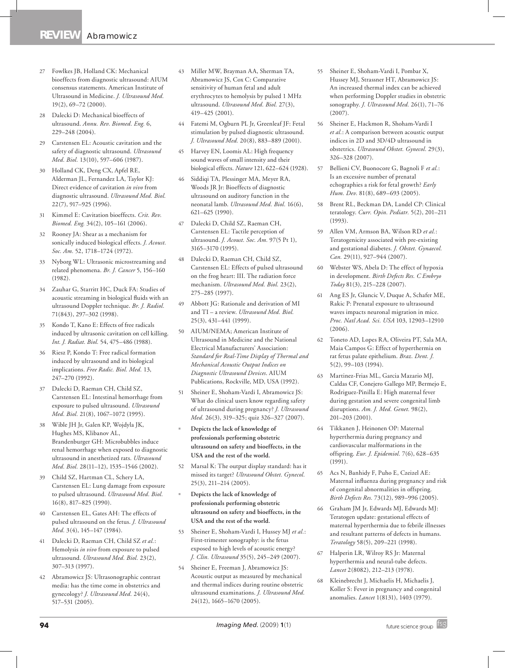- 27 Fowlkes JB, Holland CK: Mechanical bioeffects from diagnostic ultrasound: AIUM consensus statements. American Institute of Ultrasound in Medicine. *J. Ultrasound Med.* 19(2), 69–72 (2000).
- 28 Dalecki D: Mechanical bioeffects of ultrasound. *Annu. Rev. Biomed. Eng.* 6, 229–248 (2004).
- 29 Carstensen EL: Acoustic cavitation and the safety of diagnostic ultrasound. *Ultrasound Med. Biol.* 13(10), 597–606 (1987).
- 30 Holland CK, Deng CX, Apfel RE, Alderman JL, Fernandez LA, Taylor KJ: Direct evidence of cavitation *in vivo* from diagnostic ultrasound. *Ultrasound Med. Biol.* 22(7), 917–925 (1996).
- 31 Kimmel E: Cavitation bioeffects. *Crit. Rev. Biomed. Eng.* 34(2), 105–161 (2006).
- 32 Rooney JA: Shear as a mechanism for sonically induced biological effects. *J. Acoust. Soc. Am.* 52, 1718–1724 (1972).
- 33 Nyborg WL: Ultrasonic microstreaming and related phenomena. *Br. J. Cancer* 5, 156–160 (1982).
- Zauhar G, Starritt HC, Duck FA: Studies of acoustic streaming in biological fluids with an ultrasound Doppler technique. *Br. J. Radiol.* 71(843), 297–302 (1998).
- 35 Kondo T, Kano E: Effects of free radicals induced by ultrasonic cavitation on cell killing. *Int. J. Radiat. Biol.* 54, 475–486 (1988).
- 36 Riesz P, Kondo T: Free radical formation induced by ultrasound and its biological implications. *Free Radic. Biol. Med.* 13, 247–270 (1992).
- 37 Dalecki D, Raeman CH, Child SZ, Carstensen EL: Intestinal hemorrhage from exposure to pulsed ultrasound. *Ultrasound Med. Biol.* 21(8), 1067–1072 (1995).
- 38 Wible JH Jr, Galen KP, Wojdyla JK, Hughes MS, Klibanov AL, Brandenburger GH: Microbubbles induce renal hemorrhage when exposed to diagnostic ultrasound in anesthetized rats. *Ultrasound Med. Biol.* 28(11–12), 1535–1546 (2002).
- 39 Child SZ, Hartman CL, Schery LA, Carstensen EL: Lung damage from exposure to pulsed ultrasound. *Ultrasound Med. Biol.* 16(8), 817–825 (1990).
- Carstensen EL, Gates AH: The effects of pulsed ultrasound on the fetus. *J. Ultrasound Med.* 3(4), 145–147 (1984).
- 41 Dalecki D, Raeman CH, Child SZ *et al.*: Hemolysis *in vivo* from exposure to pulsed ultrasound. *Ultrasound Med. Biol.* 23(2), 307–313 (1997).
- 42 Abramowicz JS: Ultrasonographic contrast media: has the time come in obstetrics and gynecology? *J. Ultrasound Med.* 24(4), 517–531 (2005).
- 43 Miller MW, Brayman AA, Sherman TA, Abramowicz JS, Cox C: Comparative sensitivity of human fetal and adult erythrocytes to hemolysis by pulsed 1 MHz ultrasound. *Ultrasound Med. Biol.* 27(3), 419–425 (2001).
- 44 Fatemi M, Ogburn PL Jr, Greenleaf JF: Fetal stimulation by pulsed diagnostic ultrasound. *J. Ultrasound Med.* 20(8), 883–889 (2001).
- 45 Harvey EN, Loomis AL: High frequency sound waves of small intensity and their biological effects. *Nature* 121, 622–624 (1928).
- 46 Siddiqi TA, Plessinger MA, Meyer RA, Woods JR Jr: Bioeffects of diagnostic ultrasound on auditory function in the neonatal lamb. *Ultrasound Med. Biol.* 16(6), 621–625 (1990).
- 47 Dalecki D, Child SZ, Raeman CH, Carstensen EL: Tactile perception of ultrasound. *J. Acoust. Soc. Am.* 97(5 Pt 1), 3165–3170 (1995).
- 48 Dalecki D, Raeman CH, Child SZ, Carstensen EL: Effects of pulsed ultrasound on the frog heart: III. The radiation force mechanism. *Ultrasound Med. Biol.* 23(2), 275–285 (1997).
- 49 Abbott JG: Rationale and derivation of MI and TI – a review. *Ultrasound Med. Biol.* 25(3), 431–441 (1999).
- 50 AIUM/NEMA; American Institute of Ultrasound in Medicine and the National Electrical Manufacturers' Association: *Standard for Real-Time Display of Thermal and Mechanical Acoustic Output Indices on Diagnostic Ultrasound Devices*. AIUM Publications, Rockville, MD, USA (1992).
- 51 Sheiner E, Shoham-Vardi I, Abramowicz JS: What do clinical users know regarding safety of ultrasound during pregnancy? *J. Ultrasound Med.* 26(3), 319–325; quiz 326–327 (2007).
- <sup>n</sup> **Depicts the lack of knowledge of professionals performing obstetric ultrasound on safety and bioeffects, in the USA and the rest of the world.**
- 52 Marsal K: The output display standard: has it missed its target? *Ultrasound Obstet. Gynecol.* 25(3), 211–214 (2005).
- <sup>n</sup> **Depicts the lack of knowledge of professionals performing obstetric ultrasound on safety and bioeffects, in the USA and the rest of the world.**
- 53 Sheiner E, Shoham-Vardi I, Hussey MJ *et al.*: First-trimester sonography: is the fetus exposed to high levels of acoustic energy? *J. Clin. Ultrasound* 35(5), 245–249 (2007).
- 54 Sheiner E, Freeman J, Abramowicz JS: Acoustic output as measured by mechanical and thermal indices during routine obstetric ultrasound examinations. *J. Ultrasound Med.* 24(12), 1665–1670 (2005).
- 55 Sheiner E, Shoham-Vardi I, Pombar X, Hussey MJ, Strassner HT, Abramowicz JS: An increased thermal index can be achieved when performing Doppler studies in obstetric sonography. *J. Ultrasound Med.* 26(1), 71–76 (2007).
- 56 Sheiner E, Hackmon R, Shoham-Vardi I *et al.*: A comparison between acoustic output indices in 2D and 3D/4D ultrasound in obstetrics. *Ultrasound Obstet. Gynecol.* 29(3), 326–328 (2007).
- 57 Bellieni CV, Buonocore G, Bagnoli F *et al.*: Is an excessive number of prenatal echographies a risk for fetal growth? *Early Hum. Dev.* 81(8), 689–693 (2005).
- 58 Brent RL, Beckman DA, Landel CP: Clinical teratology. *Curr. Opin. Pediatr.* 5(2), 201–211 (1993).
- 59 Allen VM, Armson BA, Wilson RD *et al.*: Teratogenicity associated with pre-existing and gestational diabetes. *J. Obstet. Gynaecol. Can.* 29(11), 927–944 (2007).
- 60 Webster WS, Abela D: The effect of hypoxia in development. *Birth Defects Res. C Embryo Today* 81(3), 215–228 (2007).
- 61 Ang ES Jr, Gluncic V, Duque A, Schafer ME, Rakic P: Prenatal exposure to ultrasound waves impacts neuronal migration in mice. *Proc. Natl Acad. Sci. USA* 103, 12903–12910  $(2006)$
- 62 Toneto AD, Lopes RA, Oliveira PT, Sala MA, Maia Campos G: Effect of hyperthermia on rat fetus palate epithelium. *Braz. Dent. J.*  5(2), 99–103 (1994).
- 63 Martinez-Frias ML, Garcia Mazario MJ, Caldas CF, Conejero Gallego MP, Bermejo E, Rodriguez-Pinilla E: High maternal fever during gestation and severe congenital limb disruptions. *Am. J. Med. Genet.* 98(2), 201–203 (2001).
- 64 Tikkanen J, Heinonen OP: Maternal hyperthermia during pregnancy and cardiovascular malformations in the offspring. *Eur. J. Epidemiol.* 7(6), 628–635  $(1991)$
- 65 Acs N, Banhidy F, Puho E, Czeizel AE: Maternal influenza during pregnancy and risk of congenital abnormalities in offspring. *Birth Defects Res.* 73(12), 989–996 (2005).
- 66 Graham JM Jr, Edwards MJ, Edwards MJ: Teratogen update: gestational effects of maternal hyperthermia due to febrile illnesses and resultant patterns of defects in humans. *Teratology* 58(5), 209–221 (1998).
- 67 Halperin LR, Wilroy RS Jr: Maternal hyperthermia and neural-tube defects. *Lancet* 2(8082), 212–213 (1978).
- Kleinebrecht J, Michaelis H, Michaelis J, Koller S: Fever in pregnancy and congenital anomalies. *Lancet* 1(8131), 1403 (1979).